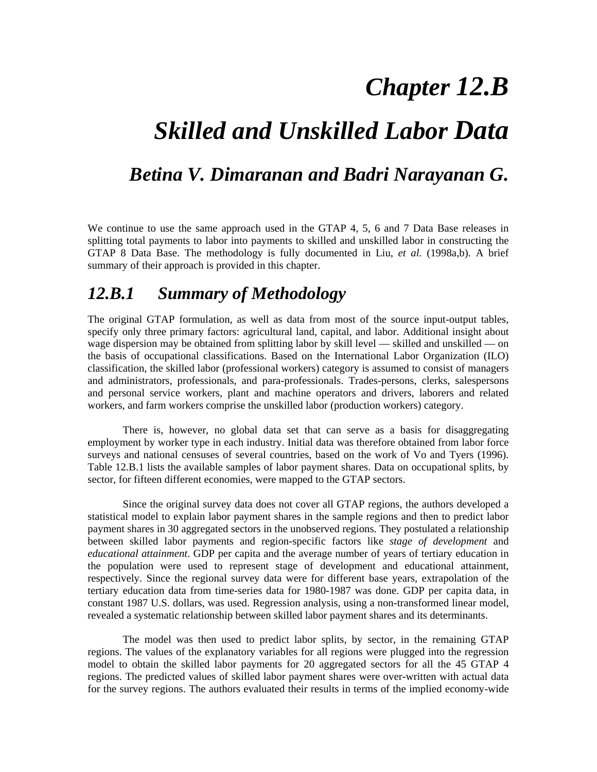# *Chapter 12.B*

## *Skilled and Unskilled Labor Data*

### *Betina V. Dimaranan and Badri Narayanan G.*

We continue to use the same approach used in the GTAP 4, 5, 6 and 7 Data Base releases in splitting total payments to labor into payments to skilled and unskilled labor in constructing the GTAP 8 Data Base. The methodology is fully documented in Liu, *et al.* (1998a,b). A brief summary of their approach is provided in this chapter.

## *12.B.1 Summary of Methodology*

The original GTAP formulation, as well as data from most of the source input-output tables, specify only three primary factors: agricultural land, capital, and labor. Additional insight about wage dispersion may be obtained from splitting labor by skill level — skilled and unskilled — on the basis of occupational classifications. Based on the International Labor Organization (ILO) classification, the skilled labor (professional workers) category is assumed to consist of managers and administrators, professionals, and para-professionals. Trades-persons, clerks, salespersons and personal service workers, plant and machine operators and drivers, laborers and related workers, and farm workers comprise the unskilled labor (production workers) category.

There is, however, no global data set that can serve as a basis for disaggregating employment by worker type in each industry. Initial data was therefore obtained from labor force surveys and national censuses of several countries, based on the work of Vo and Tyers (1996). Table 12.B.1 lists the available samples of labor payment shares. Data on occupational splits, by sector, for fifteen different economies, were mapped to the GTAP sectors.

Since the original survey data does not cover all GTAP regions, the authors developed a statistical model to explain labor payment shares in the sample regions and then to predict labor payment shares in 30 aggregated sectors in the unobserved regions. They postulated a relationship between skilled labor payments and region-specific factors like *stage of development* and *educational attainment*. GDP per capita and the average number of years of tertiary education in the population were used to represent stage of development and educational attainment, respectively. Since the regional survey data were for different base years, extrapolation of the tertiary education data from time-series data for 1980-1987 was done. GDP per capita data, in constant 1987 U.S. dollars, was used. Regression analysis, using a non-transformed linear model, revealed a systematic relationship between skilled labor payment shares and its determinants.

The model was then used to predict labor splits, by sector, in the remaining GTAP regions. The values of the explanatory variables for all regions were plugged into the regression model to obtain the skilled labor payments for 20 aggregated sectors for all the 45 GTAP 4 regions. The predicted values of skilled labor payment shares were over-written with actual data for the survey regions. The authors evaluated their results in terms of the implied economy-wide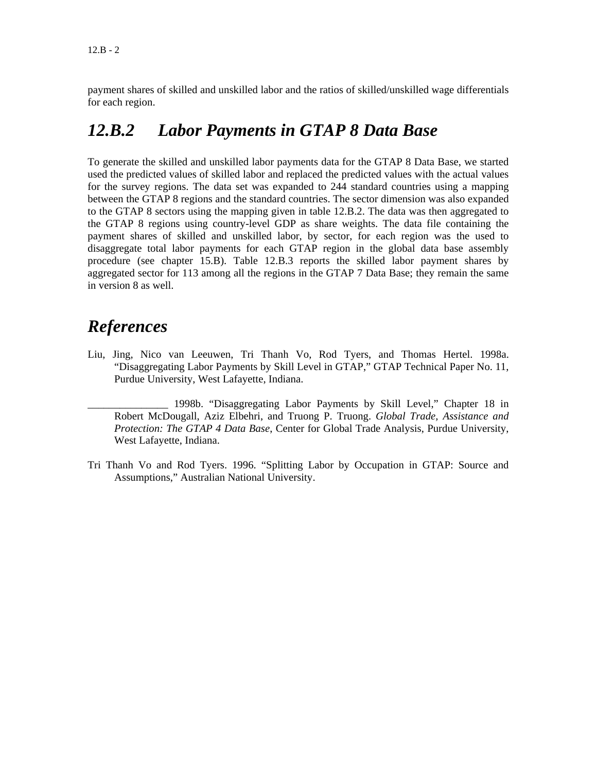payment shares of skilled and unskilled labor and the ratios of skilled/unskilled wage differentials for each region.

### *12.B.2 Labor Payments in GTAP 8 Data Base*

To generate the skilled and unskilled labor payments data for the GTAP 8 Data Base, we started used the predicted values of skilled labor and replaced the predicted values with the actual values for the survey regions. The data set was expanded to 244 standard countries using a mapping between the GTAP 8 regions and the standard countries. The sector dimension was also expanded to the GTAP 8 sectors using the mapping given in table 12.B.2. The data was then aggregated to the GTAP 8 regions using country-level GDP as share weights. The data file containing the payment shares of skilled and unskilled labor, by sector, for each region was the used to disaggregate total labor payments for each GTAP region in the global data base assembly procedure (see chapter 15.B). Table 12.B.3 reports the skilled labor payment shares by aggregated sector for 113 among all the regions in the GTAP 7 Data Base; they remain the same in version 8 as well.

### *References*

Liu, Jing, Nico van Leeuwen, Tri Thanh Vo, Rod Tyers, and Thomas Hertel. 1998a. "Disaggregating Labor Payments by Skill Level in GTAP," GTAP Technical Paper No. 11, Purdue University, West Lafayette, Indiana.

\_\_\_\_\_\_\_\_\_\_\_\_\_\_\_ 1998b. "Disaggregating Labor Payments by Skill Level," Chapter 18 in Robert McDougall, Aziz Elbehri, and Truong P. Truong. *Global Trade, Assistance and Protection: The GTAP 4 Data Base*, Center for Global Trade Analysis, Purdue University, West Lafayette, Indiana.

Tri Thanh Vo and Rod Tyers. 1996. "Splitting Labor by Occupation in GTAP: Source and Assumptions," Australian National University.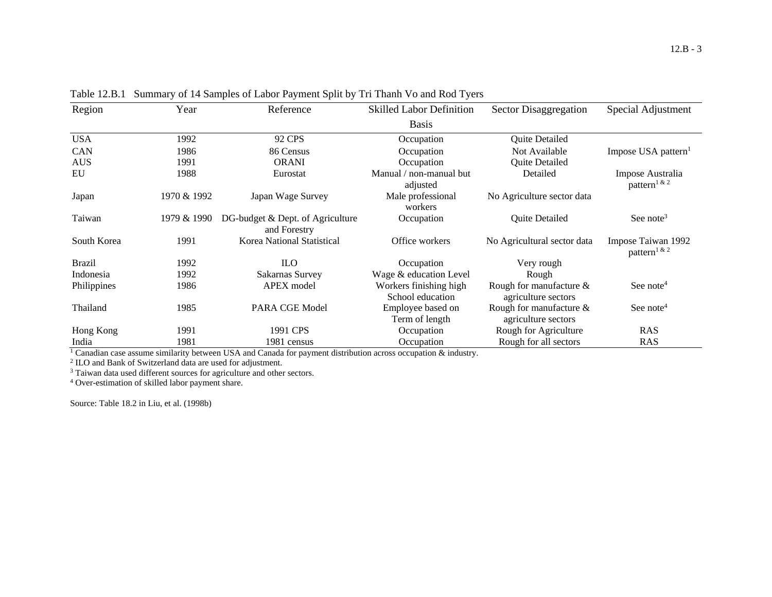| Region        | Year        | Reference                                        | <b>Skilled Labor Definition</b>            | <b>Sector Disaggregation</b>                      | Special Adjustment                                 |
|---------------|-------------|--------------------------------------------------|--------------------------------------------|---------------------------------------------------|----------------------------------------------------|
|               |             |                                                  | <b>Basis</b>                               |                                                   |                                                    |
| <b>USA</b>    | 1992        | 92 CPS                                           | Occupation                                 | <b>Quite Detailed</b>                             |                                                    |
| CAN           | 1986        | 86 Census                                        | Occupation                                 | Not Available                                     | Impose USA pattern <sup>1</sup>                    |
| <b>AUS</b>    | 1991        | <b>ORANI</b>                                     | Occupation                                 | Quite Detailed                                    |                                                    |
| EU            | 1988        | Eurostat                                         | Manual / non-manual but<br>adjusted        | Detailed                                          | Impose Australia<br>pattern <sup>1 &amp; 2</sup>   |
| Japan         | 1970 & 1992 | Japan Wage Survey                                | Male professional<br>workers               | No Agriculture sector data                        |                                                    |
| Taiwan        | 1979 & 1990 | DG-budget & Dept. of Agriculture<br>and Forestry | Occupation                                 | Quite Detailed                                    | See note <sup>3</sup>                              |
| South Korea   | 1991        | Korea National Statistical                       | Office workers                             | No Agricultural sector data                       | Impose Taiwan 1992<br>pattern <sup>1 &amp; 2</sup> |
| <b>Brazil</b> | 1992        | <b>ILO</b>                                       | Occupation                                 | Very rough                                        |                                                    |
| Indonesia     | 1992        | Sakarnas Survey                                  | Wage & education Level                     | Rough                                             |                                                    |
| Philippines   | 1986        | <b>APEX</b> model                                | Workers finishing high<br>School education | Rough for manufacture $\&$<br>agriculture sectors | See note <sup>4</sup>                              |
| Thailand      | 1985        | PARA CGE Model                                   | Employee based on<br>Term of length        | Rough for manufacture $\&$<br>agriculture sectors | See note <sup>4</sup>                              |
| Hong Kong     | 1991        | 1991 CPS                                         | Occupation                                 | Rough for Agriculture                             | <b>RAS</b>                                         |
| India         | 1981        | 1981 census                                      | Occupation                                 | Rough for all sectors                             | <b>RAS</b>                                         |

Table 12.B.1 Summary of 14 Samples of Labor Payment Split by Tri Thanh Vo and Rod Tyers

<sup>1</sup> Canadian case assume similarity between USA and Canada for payment distribution across occupation & industry.<br><sup>2</sup> ILO and Bank of Switzerland data are used for adjustment.

<sup>3</sup> Taiwan data used different sources for agriculture and other sectors.

4 Over-estimation of skilled labor payment share.

Source: Table 18.2 in Liu, et al. (1998b)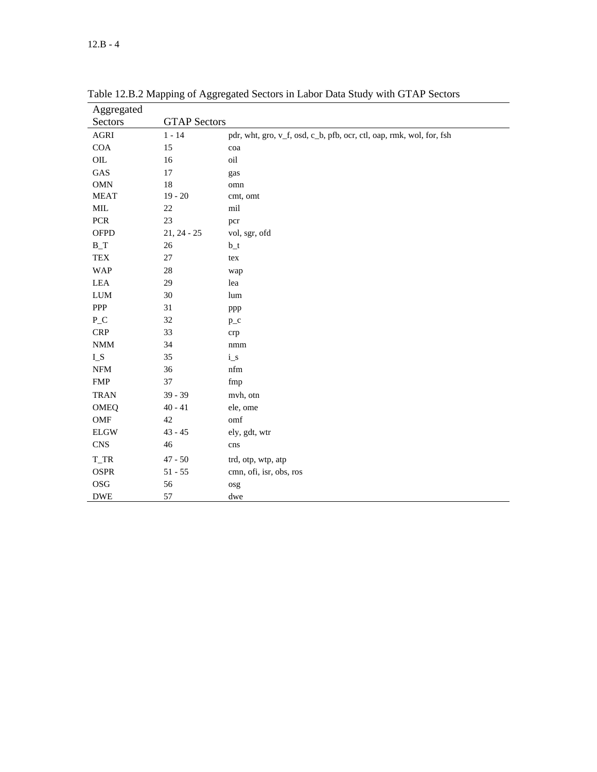| Aggregated                  |                     |                                                                      |
|-----------------------------|---------------------|----------------------------------------------------------------------|
| Sectors                     | <b>GTAP Sectors</b> |                                                                      |
| AGRI                        | $1 - 14$            | pdr, wht, gro, v_f, osd, c_b, pfb, ocr, ctl, oap, rmk, wol, for, fsh |
| COA                         | 15                  | coa                                                                  |
| $\rm OIL$                   | 16                  | oil                                                                  |
| GAS                         | 17                  | gas                                                                  |
| <b>OMN</b>                  | $18\,$              | omn                                                                  |
| <b>MEAT</b>                 | $19 - 20$           | cmt, omt                                                             |
| $\text{MIL}$                | $22\,$              | mil                                                                  |
| PCR                         | 23                  | pcr                                                                  |
| <b>OFPD</b>                 | $21, 24 - 25$       | vol, sgr, ofd                                                        |
| $B_T$                       | $26\,$              | $b_t$                                                                |
| <b>TEX</b>                  | $27\,$              | tex                                                                  |
| <b>WAP</b>                  | $28\,$              | wap                                                                  |
| LEA                         | 29                  | lea                                                                  |
| ${\rm LUM}$                 | 30                  | lum                                                                  |
| ${\sf PPP}$                 | 31                  | ppp                                                                  |
| $P_{C}$                     | 32                  | $p_{-}c$                                                             |
| <b>CRP</b>                  | 33                  | crp                                                                  |
| $\mathop{\rm NMM}\nolimits$ | 34                  | $\rm{nmm}$                                                           |
| ${\rm L}\, {\rm S}$         | 35                  | $i_s$                                                                |
| ${\rm NFM}$                 | 36                  | nfm                                                                  |
| ${\rm FMP}$                 | 37                  | fmp                                                                  |
| <b>TRAN</b>                 | $39 - 39$           | mvh, otn                                                             |
| OMEQ                        | $40 - 41$           | ele, ome                                                             |
| OMF                         | 42                  | omf                                                                  |
| <b>ELGW</b>                 | $43 - 45$           | ely, gdt, wtr                                                        |
| $\mathop{\rm CNS}$          | 46                  | cns                                                                  |
| $T_TR$                      | $47 - 50$           | trd, otp, wtp, atp                                                   |
| <b>OSPR</b>                 | $51 - 55$           | cmn, ofi, isr, obs, ros                                              |
| $\rm{OSG}$                  | 56                  | osg                                                                  |
| <b>DWE</b>                  | 57                  | dwe                                                                  |

Table 12.B.2 Mapping of Aggregated Sectors in Labor Data Study with GTAP Sectors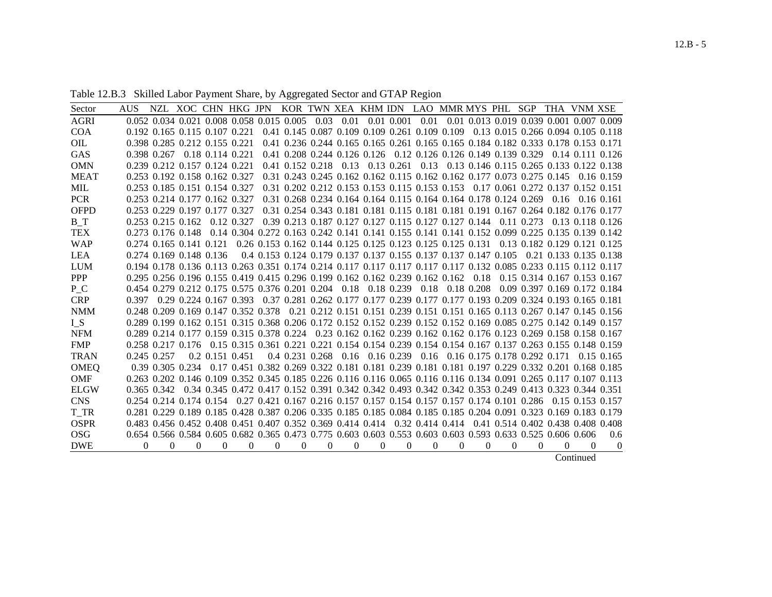Table 12.B.3 Skilled Labor Payment Share, by Aggregated Sector and GTAP Region

| Sector      | <b>AUS</b> |             |                               |                  | NZL XOC CHN HKG JPN                                                                                               |          |                  |          |          |          |            | KOR TWN XEA KHM IDN LAO MMR MYS PHL SGP                                            |          |            |          |   | THA VNM XSE |           |                                                                                                                  |
|-------------|------------|-------------|-------------------------------|------------------|-------------------------------------------------------------------------------------------------------------------|----------|------------------|----------|----------|----------|------------|------------------------------------------------------------------------------------|----------|------------|----------|---|-------------|-----------|------------------------------------------------------------------------------------------------------------------|
| <b>AGRI</b> |            |             |                               |                  | 0.052 0.034 0.021 0.008 0.058 0.015 0.005                                                                         |          |                  | 0.03     | 0.01     |          | 0.01 0.001 |                                                                                    |          |            |          |   |             |           | 0.01 0.01 0.013 0.019 0.039 0.001 0.007 0.009                                                                    |
| <b>COA</b>  |            |             | 0.192 0.165 0.115 0.107 0.221 |                  |                                                                                                                   |          |                  |          |          |          |            | 0.41 0.145 0.087 0.109 0.109 0.261 0.109 0.109                                     |          |            |          |   |             |           | 0.13 0.015 0.266 0.094 0.105 0.118                                                                               |
| OIL         |            |             | 0.398 0.285 0.212 0.155 0.221 |                  |                                                                                                                   |          |                  |          |          |          |            | 0.41 0.236 0.244 0.165 0.165 0.261 0.165 0.165 0.184 0.182 0.333 0.178 0.153 0.171 |          |            |          |   |             |           |                                                                                                                  |
| GAS         |            | 0.398 0.267 |                               | 0.18 0.114 0.221 |                                                                                                                   |          |                  |          |          |          |            | 0.41 0.208 0.244 0.126 0.126 0.12 0.126 0.126 0.149 0.139 0.329                    |          |            |          |   |             |           | $0.14$ 0.111 0.126                                                                                               |
| <b>OMN</b>  |            |             | 0.239 0.212 0.157 0.124 0.221 |                  |                                                                                                                   |          | 0.41 0.152 0.218 |          | 0.13     |          | 0.13 0.261 | 0.13                                                                               |          |            |          |   |             |           | 0.13 0.146 0.115 0.265 0.133 0.122 0.138                                                                         |
| <b>MEAT</b> |            |             | 0.253 0.192 0.158 0.162 0.327 |                  |                                                                                                                   |          |                  |          |          |          |            | 0.31 0.243 0.245 0.162 0.162 0.115 0.162 0.162 0.177 0.073 0.275 0.145             |          |            |          |   |             |           | $0.16$ 0.159                                                                                                     |
| <b>MIL</b>  |            |             | 0.253 0.185 0.151 0.154 0.327 |                  |                                                                                                                   |          |                  |          |          |          |            | 0.31 0.202 0.212 0.153 0.153 0.115 0.153 0.153                                     |          |            |          |   |             |           | 0.17 0.061 0.272 0.137 0.152 0.151                                                                               |
| <b>PCR</b>  |            |             | 0.253 0.214 0.177 0.162 0.327 |                  |                                                                                                                   |          |                  |          |          |          |            | 0.31 0.268 0.234 0.164 0.164 0.115 0.164 0.164 0.178 0.124 0.269                   |          |            |          |   | 0.16        |           | $0.16$ $0.161$                                                                                                   |
| <b>OFPD</b> |            |             | 0.253 0.229 0.197 0.177 0.327 |                  |                                                                                                                   |          |                  |          |          |          |            |                                                                                    |          |            |          |   |             |           | 0.31 0.254 0.343 0.181 0.181 0.115 0.181 0.181 0.191 0.167 0.264 0.182 0.176 0.177                               |
| $B_T$       |            |             | 0.253 0.215 0.162             |                  | 0.12 0.327                                                                                                        |          |                  |          |          |          |            | 0.39 0.213 0.187 0.127 0.127 0.115 0.127 0.127 0.144 0.11 0.273                    |          |            |          |   |             |           | 0.13 0.118 0.126                                                                                                 |
| <b>TEX</b>  |            |             | 0.273 0.176 0.148             |                  | 0.14 0.304 0.272 0.163 0.242 0.141 0.141 0.155 0.141 0.141 0.152 0.099 0.225 0.135 0.139 0.142                    |          |                  |          |          |          |            |                                                                                    |          |            |          |   |             |           |                                                                                                                  |
| <b>WAP</b>  |            |             | $0.274$ 0.165 0.141 0.121     |                  |                                                                                                                   |          |                  |          |          |          |            | 0.26 0.153 0.162 0.144 0.125 0.125 0.123 0.125 0.125 0.131                         |          |            |          |   |             |           | 0.13 0.182 0.129 0.121 0.125                                                                                     |
| <b>LEA</b>  |            |             | 0.274 0.169 0.148 0.136       |                  |                                                                                                                   |          |                  |          |          |          |            | 0.4 0.153 0.124 0.179 0.137 0.137 0.155 0.137 0.137 0.147 0.105                    |          |            |          |   |             |           | 0.21 0.133 0.135 0.138                                                                                           |
| <b>LUM</b>  |            |             |                               |                  | 0.194 0.178 0.136 0.113 0.263 0.351 0.174 0.214 0.117 0.117 0.117 0.117 0.117 0.132 0.085 0.233 0.115 0.112 0.117 |          |                  |          |          |          |            |                                                                                    |          |            |          |   |             |           |                                                                                                                  |
| <b>PPP</b>  |            |             |                               |                  | 0.295 0.256 0.196 0.155 0.419 0.415 0.296 0.199 0.162 0.162 0.239 0.162 0.162                                     |          |                  |          |          |          |            |                                                                                    |          | 0.18       |          |   |             |           | 0.15 0.314 0.167 0.153 0.167                                                                                     |
| $P_{C}$     |            |             |                               |                  | 0.454 0.279 0.212 0.175 0.575 0.376 0.201 0.204 0.18                                                              |          |                  |          |          |          | 0.18 0.239 | 0.18                                                                               |          | 0.18 0.208 |          |   |             |           | 0.09 0.397 0.169 0.172 0.184                                                                                     |
| <b>CRP</b>  | 0.397      |             |                               |                  | 0.29 0.224 0.167 0.393                                                                                            |          |                  |          |          |          |            | 0.37 0.281 0.262 0.177 0.177 0.239 0.177 0.177 0.193 0.209 0.324 0.193 0.165 0.181 |          |            |          |   |             |           |                                                                                                                  |
| <b>NMM</b>  |            |             |                               |                  |                                                                                                                   |          |                  |          |          |          |            |                                                                                    |          |            |          |   |             |           | 0.248 0.209 0.169 0.147 0.352 0.378 0.21 0.212 0.151 0.151 0.239 0.151 0.151 0.165 0.113 0.267 0.147 0.145 0.156 |
| $I_S$       |            |             |                               |                  | 0.289 0.199 0.162 0.151 0.315 0.368 0.206 0.172 0.152 0.152 0.239 0.152 0.152 0.169 0.085 0.275 0.142 0.149 0.157 |          |                  |          |          |          |            |                                                                                    |          |            |          |   |             |           |                                                                                                                  |
| <b>NFM</b>  |            |             |                               |                  | 0.289 0.214 0.177 0.159 0.315 0.378 0.224                                                                         |          |                  |          |          |          |            |                                                                                    |          |            |          |   |             |           | 0.23 0.162 0.162 0.239 0.162 0.162 0.176 0.123 0.269 0.158 0.158 0.167                                           |
| <b>FMP</b>  |            |             | 0.258 0.217 0.176             |                  | 0.15 0.315 0.361 0.221 0.221 0.154 0.154 0.239 0.154 0.154 0.167 0.137 0.263 0.155 0.148 0.159                    |          |                  |          |          |          |            |                                                                                    |          |            |          |   |             |           |                                                                                                                  |
| <b>TRAN</b> |            | 0.245 0.257 |                               |                  | 0.2 0.151 0.451                                                                                                   |          |                  |          |          |          |            | 0.4 0.231 0.268 0.16 0.16 0.239 0.16 0.16 0.175 0.178 0.292 0.171                  |          |            |          |   |             |           | 0.15 0.165                                                                                                       |
| <b>OMEQ</b> |            |             | 0.39 0.305 0.234              |                  | 0.17 0.451 0.382 0.269 0.322 0.181 0.181 0.239 0.181 0.181 0.197 0.229 0.332 0.201 0.168 0.185                    |          |                  |          |          |          |            |                                                                                    |          |            |          |   |             |           |                                                                                                                  |
| <b>OMF</b>  |            |             |                               |                  | 0.263 0.202 0.146 0.109 0.352 0.345 0.185 0.226 0.116 0.116 0.065 0.116 0.116 0.134 0.091 0.265 0.117 0.107 0.113 |          |                  |          |          |          |            |                                                                                    |          |            |          |   |             |           |                                                                                                                  |
| <b>ELGW</b> |            | 0.365 0.342 |                               |                  | 0.34 0.345 0.472 0.417 0.152 0.391 0.342 0.342 0.493 0.342 0.342 0.353 0.249 0.413 0.323 0.344 0.351              |          |                  |          |          |          |            |                                                                                    |          |            |          |   |             |           |                                                                                                                  |
| <b>CNS</b>  |            |             | 0.254 0.214 0.174 0.154       |                  |                                                                                                                   |          |                  |          |          |          |            | 0.27 0.421 0.167 0.216 0.157 0.157 0.154 0.157 0.157 0.174 0.101 0.286             |          |            |          |   |             |           | 0.15 0.153 0.157                                                                                                 |
| T_TR        |            |             |                               |                  | 0.281 0.229 0.189 0.185 0.428 0.387 0.206 0.335 0.185 0.185 0.084 0.185 0.185 0.204 0.091 0.323 0.169 0.183 0.179 |          |                  |          |          |          |            |                                                                                    |          |            |          |   |             |           |                                                                                                                  |
| <b>OSPR</b> |            |             |                               |                  | 0.483 0.456 0.452 0.408 0.451 0.407 0.352 0.369 0.414 0.414 0.32 0.414 0.414                                      |          |                  |          |          |          |            |                                                                                    |          |            |          |   |             |           | 0.41 0.514 0.402 0.438 0.408 0.408                                                                               |
| <b>OSG</b>  |            |             |                               |                  | 0.654 0.566 0.584 0.605 0.682 0.365 0.473 0.775 0.603 0.603 0.553 0.603 0.603 0.593 0.633 0.525 0.606 0.606       |          |                  |          |          |          |            |                                                                                    |          |            |          |   |             |           | 0.6                                                                                                              |
| <b>DWE</b>  | $\theta$   | 0           | 0                             | $\Omega$         | $\Omega$                                                                                                          | $\Omega$ | $\Omega$         | $\theta$ | $\Omega$ | $\theta$ | 0          | 0                                                                                  | $\Omega$ | $\theta$   | $\Omega$ | 0 | $\Omega$    | $\Omega$  | $\overline{0}$                                                                                                   |
|             |            |             |                               |                  |                                                                                                                   |          |                  |          |          |          |            |                                                                                    |          |            |          |   |             | Continued |                                                                                                                  |

12.B - 5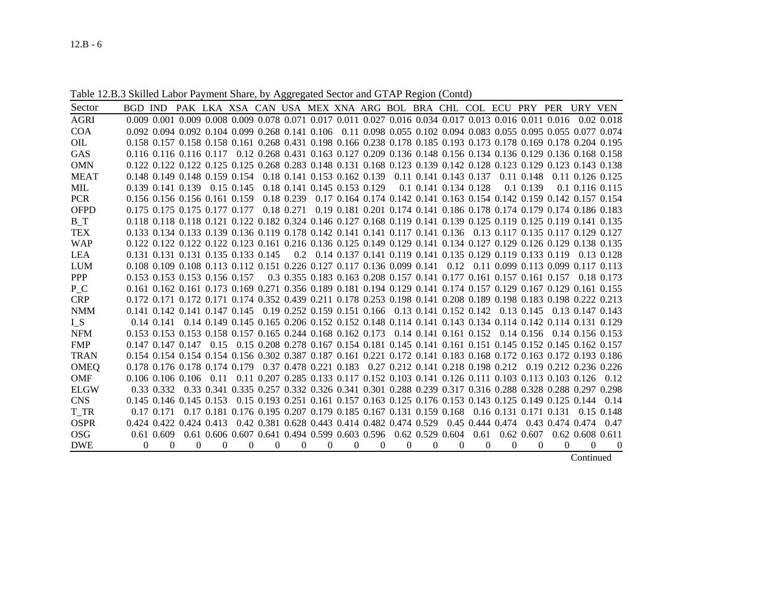12.B - 6

Table 12.B.3 Skilled Labor Payment Share, by Aggregated Sector and GTAP Region (Contd)

| Sector      | BGD IND                                                                                                           |               |          |              |          |            |          | PAK LKA XSA CAN USA MEX XNA ARG BOL BRA CHL COL ECU PRY PER URY VEN                                  |          |          |          |                          |          |                  |                |                        |           |                                                           |
|-------------|-------------------------------------------------------------------------------------------------------------------|---------------|----------|--------------|----------|------------|----------|------------------------------------------------------------------------------------------------------|----------|----------|----------|--------------------------|----------|------------------|----------------|------------------------|-----------|-----------------------------------------------------------|
| <b>AGRI</b> | 0.009 0.001 0.009 0.008 0.009 0.078 0.071 0.017 0.011 0.027 0.016 0.034 0.017 0.013 0.016 0.011 0.016             |               |          |              |          |            |          |                                                                                                      |          |          |          |                          |          |                  |                |                        |           | $0.02$ $0.018$                                            |
| COA         | 0.092 0.094 0.092 0.104 0.099 0.268 0.141 0.106 0.11 0.098 0.055 0.102 0.094 0.083 0.055 0.095 0.055 0.077 0.074  |               |          |              |          |            |          |                                                                                                      |          |          |          |                          |          |                  |                |                        |           |                                                           |
| <b>OIL</b>  | 0.158 0.157 0.158 0.158 0.161 0.268 0.431 0.198 0.166 0.238 0.178 0.185 0.193 0.173 0.178 0.169 0.178 0.204 0.195 |               |          |              |          |            |          |                                                                                                      |          |          |          |                          |          |                  |                |                        |           |                                                           |
| GAS         | 0.116 0.116 0.116 0.117 0.12 0.268 0.431 0.163 0.127 0.209 0.136 0.148 0.156 0.134 0.136 0.129 0.136 0.168 0.158  |               |          |              |          |            |          |                                                                                                      |          |          |          |                          |          |                  |                |                        |           |                                                           |
| <b>OMN</b>  | 0.122 0.122 0.122 0.125 0.125 0.268 0.283 0.148 0.131 0.168 0.123 0.139 0.142 0.128 0.123 0.129 0.123 0.143 0.138 |               |          |              |          |            |          |                                                                                                      |          |          |          |                          |          |                  |                |                        |           |                                                           |
| <b>MEAT</b> | 0.148 0.149 0.148 0.159 0.154                                                                                     |               |          |              |          |            |          | 0.18 0.141 0.153 0.162 0.139                                                                         |          |          |          | 0.11 0.141 0.143 0.137   |          |                  | $0.11 \ 0.148$ |                        |           | $0.11$ $0.126$ $0.125$                                    |
| MIL         | 0.139 0.141 0.139                                                                                                 |               |          | $0.15$ 0.145 |          |            |          | 0.18 0.141 0.145 0.153 0.129                                                                         |          |          |          | 0.1 0.141 0.134 0.128    |          |                  | 0.1 0.139      |                        |           | $0.1$ 0.116 0.115                                         |
| <b>PCR</b>  | 0.156 0.156 0.156 0.161 0.159                                                                                     |               |          |              |          | 0.18 0.239 |          | 0.17 0.164 0.174 0.142 0.141 0.163 0.154 0.142 0.159 0.142 0.157 0.154                               |          |          |          |                          |          |                  |                |                        |           |                                                           |
| <b>OFPD</b> | 0.175 0.175 0.175 0.177 0.177                                                                                     |               |          |              |          | 0.18 0.271 |          | 0.19 0.181 0.201 0.174 0.141 0.186 0.178 0.174 0.179 0.174 0.186 0.183                               |          |          |          |                          |          |                  |                |                        |           |                                                           |
| B T         | 0.118 0.118 0.118 0.121 0.122 0.182 0.324 0.146 0.127 0.168 0.119 0.141 0.139 0.125 0.119 0.125 0.119 0.141 0.135 |               |          |              |          |            |          |                                                                                                      |          |          |          |                          |          |                  |                |                        |           |                                                           |
| <b>TEX</b>  | 0.133 0.134 0.133 0.139 0.136 0.119 0.178 0.142 0.141 0.141 0.117 0.141 0.136 0.13 0.117 0.135 0.117 0.129 0.127  |               |          |              |          |            |          |                                                                                                      |          |          |          |                          |          |                  |                |                        |           |                                                           |
| <b>WAP</b>  | 0.122 0.122 0.122 0.123 0.123 0.161 0.216 0.136 0.125 0.149 0.129 0.141 0.134 0.127 0.129 0.126 0.129 0.138 0.135 |               |          |              |          |            |          |                                                                                                      |          |          |          |                          |          |                  |                |                        |           |                                                           |
| <b>LEA</b>  | 0.131 0.131 0.131 0.135 0.133 0.145                                                                               |               |          |              |          |            |          | 0.2 0.14 0.137 0.141 0.119 0.141 0.135 0.129 0.119 0.133 0.119                                       |          |          |          |                          |          |                  |                |                        |           | 0.13 0.128                                                |
| <b>LUM</b>  | 0.108 0.109 0.108 0.113 0.112 0.151 0.226 0.127 0.117 0.136 0.099 0.141                                           |               |          |              |          |            |          |                                                                                                      |          |          |          | 0.12                     |          |                  |                |                        |           | 0.11 0.099 0.113 0.099 0.117 0.113                        |
| PPP         | 0.153 0.153 0.153 0.156 0.157                                                                                     |               |          |              |          |            |          | 0.3 0.355 0.183 0.163 0.208 0.157 0.141 0.177 0.161 0.157 0.161 0.157                                |          |          |          |                          |          |                  |                |                        |           | 0.18 0.173                                                |
| $P_{C}$     | 0.161 0.162 0.161 0.173 0.169 0.271 0.356 0.189 0.181 0.194 0.129 0.141 0.174 0.157 0.129 0.167 0.129 0.161 0.155 |               |          |              |          |            |          |                                                                                                      |          |          |          |                          |          |                  |                |                        |           |                                                           |
| <b>CRP</b>  | 0.172 0.171 0.172 0.171 0.174 0.352 0.439 0.211 0.178 0.253 0.198 0.141 0.208 0.189 0.198 0.183 0.198 0.222 0.213 |               |          |              |          |            |          |                                                                                                      |          |          |          |                          |          |                  |                |                        |           |                                                           |
| <b>NMM</b>  | 0.141 0.142 0.141 0.147 0.145 0.19 0.252 0.159 0.151 0.166 0.13 0.141 0.152 0.142 0.13 0.145                      |               |          |              |          |            |          |                                                                                                      |          |          |          |                          |          |                  |                |                        |           | 0.13 0.147 0.143                                          |
| $I_S$       | $0.14 \; 0.141$                                                                                                   |               |          |              |          |            |          | 0.14 0.149 0.145 0.165 0.206 0.152 0.152 0.148 0.114 0.141 0.143 0.134 0.114 0.142 0.114 0.131 0.129 |          |          |          |                          |          |                  |                |                        |           |                                                           |
| <b>NFM</b>  | 0.153 0.153 0.153 0.158 0.157 0.165 0.244 0.168 0.162 0.173                                                       |               |          |              |          |            |          |                                                                                                      |          |          |          | $0.14$ 0.141 0.161 0.152 |          |                  | 0.14 0.156     |                        |           | $0.14$ 0.156 0.153                                        |
| <b>FMP</b>  | $0.147$ $0.147$ $0.147$                                                                                           |               |          |              |          |            |          | 0.15 0.15 0.208 0.278 0.167 0.154 0.181 0.145 0.141 0.161 0.151 0.145 0.152 0.145 0.162 0.157        |          |          |          |                          |          |                  |                |                        |           |                                                           |
| <b>TRAN</b> | 0.154 0.154 0.154 0.156 0.302 0.387 0.187 0.161 0.221 0.172 0.141 0.183 0.168 0.172 0.163 0.172 0.193 0.186       |               |          |              |          |            |          |                                                                                                      |          |          |          |                          |          |                  |                |                        |           |                                                           |
| <b>OMEQ</b> | 0.178 0.176 0.178 0.174 0.179                                                                                     |               |          |              |          |            |          | 0.37 0.478 0.221 0.183                                                                               |          |          |          |                          |          |                  |                |                        |           | 0.27 0.212 0.141 0.218 0.198 0.212 0.19 0.212 0.236 0.226 |
| <b>OMF</b>  | $0.106$ $0.106$ $0.106$                                                                                           |               | 0.11     |              |          |            |          | 0.11 0.207 0.285 0.133 0.117 0.152 0.103 0.141 0.126 0.111 0.103 0.113 0.103 0.126                   |          |          |          |                          |          |                  |                |                        |           | 0.12                                                      |
| <b>ELGW</b> | 0.33 0.332 0.33 0.341 0.335 0.257 0.332 0.326 0.341 0.301 0.288 0.239 0.317 0.316 0.288 0.288 0.288 0.297 0.298   |               |          |              |          |            |          |                                                                                                      |          |          |          |                          |          |                  |                |                        |           |                                                           |
| <b>CNS</b>  | 0.145 0.146 0.145 0.153                                                                                           |               |          |              |          |            |          | 0.15 0.193 0.251 0.161 0.157 0.163 0.125 0.176 0.153 0.143 0.125 0.149 0.125 0.144                   |          |          |          |                          |          |                  |                |                        |           | 0.14                                                      |
| T TR        | 0.17 0.171                                                                                                        |               |          |              |          |            |          | 0.17 0.181 0.176 0.195 0.207 0.179 0.185 0.167 0.131 0.159 0.168                                     |          |          |          |                          |          |                  |                | 0.16 0.131 0.171 0.131 |           | $0.15$ 0.148                                              |
| <b>OSPR</b> | 0.424 0.422 0.424 0.413                                                                                           |               |          |              |          |            |          | 0.42 0.381 0.628 0.443 0.414 0.482 0.474 0.529                                                       |          |          |          |                          |          | 0.45 0.444 0.474 |                | 0.43 0.474 0.474       |           | 0.47                                                      |
| <b>OSG</b>  | 0.61 0.609                                                                                                        |               |          |              |          |            |          | 0.61 0.606 0.607 0.641 0.494 0.599 0.603 0.596                                                       |          |          |          | $0.62$ $0.529$ $0.604$   | 0.61     |                  | $0.62$ $0.607$ |                        |           | $0.62$ $0.608$ $0.611$                                    |
| <b>DWE</b>  | $\Omega$                                                                                                          | $\Omega$<br>0 | $\Omega$ | $\Omega$     | $\Omega$ | $\Omega$   | $\Omega$ | $\Omega$                                                                                             | $\Omega$ | $\Omega$ | $\Omega$ | $\Omega$                 | $\Omega$ | $\Omega$         | $\Omega$       | $\Omega$               | $\Omega$  | $\overline{0}$                                            |
|             |                                                                                                                   |               |          |              |          |            |          |                                                                                                      |          |          |          |                          |          |                  |                |                        | Continued |                                                           |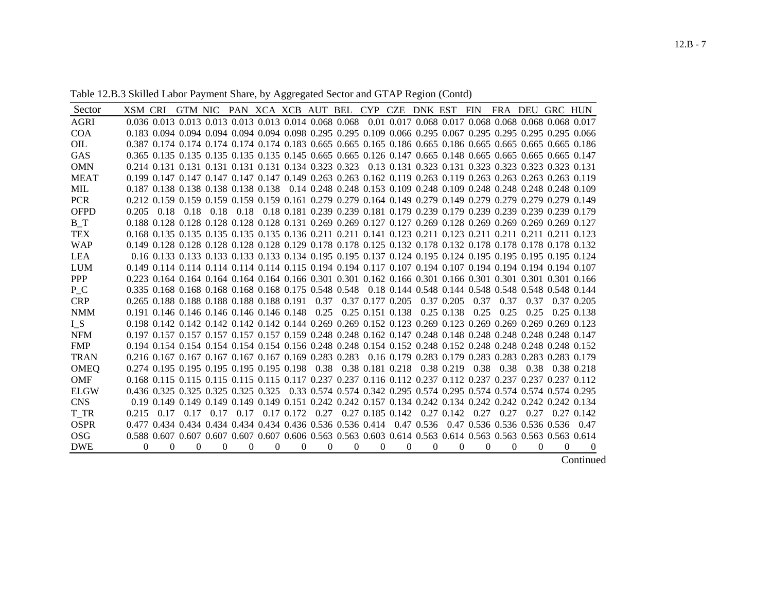| Table 12.B.3 Skilled Labor Payment Share, by Aggregated Sector and GTAP Region (Contd) |  |
|----------------------------------------------------------------------------------------|--|
|----------------------------------------------------------------------------------------|--|

| Sector      | XSM CRI        |              | <b>GTM NIC</b>                                                                                                   |             |          |          |            |          | PAN XCA XCB AUT BEL CYP CZE DNK EST |                  |   |          |            | FIN  | FRA DEU  |                                                                              | GRC HUN  |            |
|-------------|----------------|--------------|------------------------------------------------------------------------------------------------------------------|-------------|----------|----------|------------|----------|-------------------------------------|------------------|---|----------|------------|------|----------|------------------------------------------------------------------------------|----------|------------|
| <b>AGRI</b> |                |              | 0.036 0.013 0.013 0.013 0.013 0.013 0.014 0.068 0.068                                                            |             |          |          |            |          |                                     |                  |   |          |            |      |          | 0.01 0.017 0.068 0.017 0.068 0.068 0.068 0.068 0.017                         |          |            |
| <b>COA</b>  |                |              | 0.183 0.094 0.094 0.094 0.094 0.094 0.098 0.295 0.295 0.109 0.066 0.295 0.067 0.295 0.295 0.295 0.295 0.066      |             |          |          |            |          |                                     |                  |   |          |            |      |          |                                                                              |          |            |
| OIL         |                |              | 0.387 0.174 0.174 0.174 0.174 0.174 0.183 0.665 0.665 0.165 0.186 0.665 0.186 0.665 0.665 0.665 0.665 0.186      |             |          |          |            |          |                                     |                  |   |          |            |      |          |                                                                              |          |            |
| <b>GAS</b>  |                |              | 0.365 0.135 0.135 0.135 0.135 0.135 0.145 0.665 0.665 0.126 0.147 0.665 0.148 0.665 0.665 0.665 0.665 0.147      |             |          |          |            |          |                                     |                  |   |          |            |      |          |                                                                              |          |            |
| <b>OMN</b>  |                |              | 0.214 0.131 0.131 0.131 0.131 0.131 0.134 0.323 0.323 0.13 0.131 0.323 0.131 0.323 0.323 0.323 0.323 0.131       |             |          |          |            |          |                                     |                  |   |          |            |      |          |                                                                              |          |            |
| <b>MEAT</b> |                |              | 0.199 0.147 0.147 0.147 0.147 0.147 0.149 0.263 0.263 0.162 0.119 0.263 0.119 0.263 0.263 0.263 0.263 0.119      |             |          |          |            |          |                                     |                  |   |          |            |      |          |                                                                              |          |            |
| <b>MIL</b>  |                |              | 0.187 0.138 0.138 0.138 0.138 0.138 0.138 0.14 0.248 0.248 0.153 0.109 0.248 0.109 0.248 0.248 0.248 0.248 0.109 |             |          |          |            |          |                                     |                  |   |          |            |      |          |                                                                              |          |            |
| <b>PCR</b>  |                |              | 0.212 0.159 0.159 0.159 0.159 0.159 0.161 0.279 0.279 0.164 0.149 0.279 0.149 0.279 0.279 0.279 0.279 0.149      |             |          |          |            |          |                                     |                  |   |          |            |      |          |                                                                              |          |            |
| <b>OFPD</b> | 0.205          | 0.18         |                                                                                                                  | $0.18$ 0.18 | 0.18     |          |            |          |                                     |                  |   |          |            |      |          | 0.18 0.181 0.239 0.239 0.181 0.179 0.239 0.179 0.239 0.239 0.239 0.239 0.179 |          |            |
| $B_T$       |                |              | 0.188 0.128 0.128 0.128 0.128 0.128 0.131 0.269 0.269 0.127 0.127 0.269 0.128 0.269 0.269 0.269 0.269 0.127      |             |          |          |            |          |                                     |                  |   |          |            |      |          |                                                                              |          |            |
| <b>TEX</b>  |                |              | 0.168 0.135 0.135 0.135 0.135 0.135 0.136 0.211 0.211 0.141 0.123 0.211 0.123 0.211 0.211 0.211 0.211 0.123      |             |          |          |            |          |                                     |                  |   |          |            |      |          |                                                                              |          |            |
| <b>WAP</b>  |                |              | 0.149 0.128 0.128 0.128 0.128 0.128 0.129 0.178 0.178 0.125 0.132 0.178 0.132 0.178 0.178 0.178 0.178 0.132      |             |          |          |            |          |                                     |                  |   |          |            |      |          |                                                                              |          |            |
| <b>LEA</b>  |                |              | 0.16 0.133 0.133 0.133 0.133 0.133 0.134 0.195 0.195 0.137 0.124 0.195 0.124 0.195 0.195 0.195 0.195 0.124       |             |          |          |            |          |                                     |                  |   |          |            |      |          |                                                                              |          |            |
| <b>LUM</b>  |                |              | 0.149 0.114 0.114 0.114 0.114 0.114 0.115 0.194 0.194 0.117 0.107 0.194 0.107 0.194 0.194 0.194 0.194 0.197      |             |          |          |            |          |                                     |                  |   |          |            |      |          |                                                                              |          |            |
| <b>PPP</b>  |                |              | 0.223 0.164 0.164 0.164 0.164 0.164 0.166 0.301 0.301 0.162 0.166 0.301 0.166 0.301 0.301 0.301 0.301 0.166      |             |          |          |            |          |                                     |                  |   |          |            |      |          |                                                                              |          |            |
| P C         |                |              | 0.335 0.168 0.168 0.168 0.168 0.168 0.175 0.548 0.548 0.18 0.144 0.548 0.144 0.548 0.548 0.548 0.548 0.144       |             |          |          |            |          |                                     |                  |   |          |            |      |          |                                                                              |          |            |
| <b>CRP</b>  |                |              | 0.265 0.188 0.188 0.188 0.188 0.188 0.191                                                                        |             |          |          |            | 0.37     |                                     | 0.37 0.177 0.205 |   |          | 0.37 0.205 | 0.37 | 0.37     | 0.37                                                                         |          | 0.37 0.205 |
| <b>NMM</b>  |                |              | 0.191 0.146 0.146 0.146 0.146 0.146 0.148                                                                        |             |          |          |            |          | $0.25$ 0.25 0.151 0.138             |                  |   |          | 0.25 0.138 | 0.25 | 0.25     | 0.25                                                                         |          | 0.25 0.138 |
| $I_S$       |                |              | 0.198 0.142 0.142 0.142 0.142 0.142 0.144 0.269 0.269 0.152 0.123 0.269 0.123 0.269 0.269 0.269 0.269 0.123      |             |          |          |            |          |                                     |                  |   |          |            |      |          |                                                                              |          |            |
| <b>NFM</b>  |                |              | 0.197 0.157 0.157 0.157 0.157 0.157 0.159 0.248 0.248 0.162 0.147 0.248 0.148 0.248 0.248 0.248 0.248 0.147      |             |          |          |            |          |                                     |                  |   |          |            |      |          |                                                                              |          |            |
| <b>FMP</b>  |                |              | 0.154 0.154 0.154 0.154 0.154 0.154 0.156 0.248 0.248 0.154 0.152 0.248 0.152 0.248 0.248 0.248 0.248 0.152      |             |          |          |            |          |                                     |                  |   |          |            |      |          |                                                                              |          |            |
| <b>TRAN</b> |                |              | 0.216 0.167 0.167 0.167 0.167 0.167 0.169 0.283 0.283 0.16 0.179 0.283 0.179 0.283 0.283 0.283 0.283 0.179       |             |          |          |            |          |                                     |                  |   |          |            |      |          |                                                                              |          |            |
| <b>OMEQ</b> |                |              | 0.274 0.195 0.195 0.195 0.195 0.195 0.198                                                                        |             |          |          |            |          | 0.38 0.38 0.181 0.218               |                  |   |          | 0.38 0.219 | 0.38 | 0.38     | 0.38                                                                         |          | 0.38 0.218 |
| <b>OMF</b>  |                |              | 0.168 0.115 0.115 0.115 0.115 0.115 0.117 0.237 0.237 0.116 0.112 0.237 0.112 0.237 0.237 0.237 0.237 0.112      |             |          |          |            |          |                                     |                  |   |          |            |      |          |                                                                              |          |            |
| <b>ELGW</b> |                |              | 0.436 0.325 0.325 0.325 0.325 0.325 0.33 0.574 0.574 0.342 0.295 0.574 0.295 0.574 0.574 0.574 0.574 0.295       |             |          |          |            |          |                                     |                  |   |          |            |      |          |                                                                              |          |            |
| <b>CNS</b>  |                |              | 0.19 0.149 0.149 0.149 0.149 0.149 0.151 0.242 0.242 0.157 0.134 0.242 0.134 0.242 0.242 0.242 0.242 0.134       |             |          |          |            |          |                                     |                  |   |          |            |      |          |                                                                              |          |            |
| T_TR        | 0.215          | 0.17         | 0.17                                                                                                             | 0.17        | 0.17     |          | 0.17 0.172 |          | $0.27$ 0.27 0.185 0.142             |                  |   |          | 0.27 0.142 | 0.27 | 0.27     | 0.27                                                                         |          | 0.27 0.142 |
| <b>OSPR</b> |                |              | 0.477 0.434 0.434 0.434 0.434 0.434 0.436 0.536 0.536 0.414 0.47 0.536 0.47 0.536 0.536 0.536 0.536              |             |          |          |            |          |                                     |                  |   |          |            |      |          |                                                                              |          | 0.47       |
| <b>OSG</b>  |                |              | 0.588 0.607 0.607 0.607 0.607 0.607 0.606 0.563 0.563 0.603 0.614 0.563 0.614 0.563 0.563 0.563 0.563 0.614      |             |          |          |            |          |                                     |                  |   |          |            |      |          |                                                                              |          |            |
| <b>DWE</b>  | $\overline{0}$ | $\mathbf{0}$ | 0                                                                                                                | 0           | $\Omega$ | $\Omega$ | 0          | $\Omega$ | 0                                   | $\theta$         | 0 | $\Omega$ | 0          | 0    | $\Omega$ | $\Omega$                                                                     | $\Omega$ | $\theta$   |
|             |                |              |                                                                                                                  |             |          |          |            |          |                                     |                  |   |          |            |      |          |                                                                              |          | Continued  |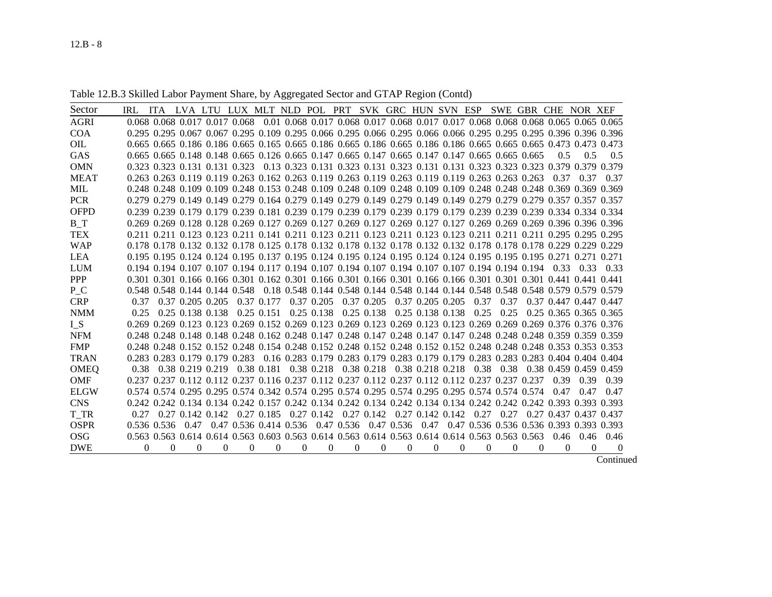#### Table 12.B.3 Skilled Labor Payment Share, by Aggregated Sector and GTAP Region (Contd)

| Sector      | IRL. |        | ITA LVA LTU LUX MLT NLD POL PRT SVK GRC HUN SVN ESP                                               |   |   |              |          |                       |          |            |          |                             |   |      |      | SWE GBR CHE NOR XEF                                                                                                    |      |                        |                    |
|-------------|------|--------|---------------------------------------------------------------------------------------------------|---|---|--------------|----------|-----------------------|----------|------------|----------|-----------------------------|---|------|------|------------------------------------------------------------------------------------------------------------------------|------|------------------------|--------------------|
| <b>AGRI</b> |      |        | 0.068 0.068 0.017 0.017 0.068                                                                     |   |   |              |          |                       |          |            |          |                             |   |      |      | 0.01 0.068 0.017 0.068 0.017 0.068 0.017 0.017 0.068 0.068 0.068 0.065 0.065 0.065                                     |      |                        |                    |
| <b>COA</b>  |      |        |                                                                                                   |   |   |              |          |                       |          |            |          |                             |   |      |      | 0.295 0.295 0.067 0.067 0.295 0.109 0.295 0.066 0.295 0.066 0.295 0.066 0.066 0.295 0.295 0.295 0.396 0.396 0.396      |      |                        |                    |
| <b>OIL</b>  |      |        |                                                                                                   |   |   |              |          |                       |          |            |          |                             |   |      |      | 0.665 0.665 0.186 0.186 0.665 0.165 0.665 0.186 0.665 0.186 0.665 0.186 0.186 0.665 0.665 0.665 0.473 0.473 0.473      |      |                        |                    |
| <b>GAS</b>  |      |        | 0.665 0.665 0.148 0.148 0.665 0.126 0.665 0.147 0.665 0.147 0.665 0.147 0.147 0.665 0.665 0.665   |   |   |              |          |                       |          |            |          |                             |   |      |      |                                                                                                                        | 0.5  | 0.5                    | 0.5                |
| <b>OMN</b>  |      |        | 0.323 0.323 0.131 0.131 0.323                                                                     |   |   |              |          |                       |          |            |          |                             |   |      |      | 0.13 0.323 0.131 0.323 0.131 0.323 0.131 0.131 0.323 0.323 0.323 0.379 0.379 0.379                                     |      |                        |                    |
| <b>MEAT</b> |      |        |                                                                                                   |   |   |              |          |                       |          |            |          |                             |   |      |      | 0.263 0.263 0.119 0.119 0.263 0.162 0.263 0.119 0.263 0.119 0.263 0.119 0.119 0.263 0.263 0.263                        | 0.37 | 0.37                   | 0.37               |
| MIL         |      |        |                                                                                                   |   |   |              |          |                       |          |            |          |                             |   |      |      | 0.248 0.248 0.109 0.109 0.248 0.153 0.248 0.109 0.248 0.109 0.248 0.109 0.109 0.248 0.248 0.248 0.369 0.369 0.369      |      |                        |                    |
| <b>PCR</b>  |      |        |                                                                                                   |   |   |              |          |                       |          |            |          |                             |   |      |      | 0.279 0.279 0.149 0.149 0.279 0.164 0.279 0.149 0.279 0.149 0.279 0.149 0.149 0.279 0.279 0.279 0.357 0.357 0.357      |      |                        |                    |
| <b>OFPD</b> |      |        |                                                                                                   |   |   |              |          |                       |          |            |          |                             |   |      |      | 0.239 0.239 0.179 0.179 0.239 0.181 0.239 0.179 0.239 0.179 0.239 0.179 0.179 0.239 0.239 0.239 0.334 0.334 0.334      |      |                        |                    |
| $B_T$       |      |        |                                                                                                   |   |   |              |          |                       |          |            |          |                             |   |      |      | 0.269 0.269 0.128 0.128 0.269 0.127 0.269 0.127 0.269 0.127 0.269 0.127 0.127 0.269 0.269 0.269 0.396 0.396 0.396      |      |                        |                    |
| <b>TEX</b>  |      |        |                                                                                                   |   |   |              |          |                       |          |            |          |                             |   |      |      | 0.211 0.211 0.123 0.123 0.211 0.141 0.211 0.123 0.211 0.123 0.211 0.123 0.123 0.211 0.211 0.211 0.295 0.295 0.295      |      |                        |                    |
| <b>WAP</b>  |      |        |                                                                                                   |   |   |              |          |                       |          |            |          |                             |   |      |      | 0.178 0.178 0.132 0.132 0.178 0.125 0.178 0.132 0.178 0.132 0.178 0.132 0.132 0.178 0.178 0.178 0.229 0.229 0.229      |      |                        |                    |
| <b>LEA</b>  |      |        |                                                                                                   |   |   |              |          |                       |          |            |          |                             |   |      |      | 0.195 0.195 0.124 0.124 0.195 0.137 0.195 0.124 0.195 0.124 0.195 0.124 0.124 0.195 0.195 0.195 0.271 0.271 0.271      |      |                        |                    |
| LUM         |      |        |                                                                                                   |   |   |              |          |                       |          |            |          |                             |   |      |      | 0.194 0.194 0.107 0.107 0.194 0.117 0.194 0.107 0.194 0.107 0.194 0.107 0.107 0.107 0.194 0.194 0.194                  | 0.33 | 0.33                   | 0.33               |
| <b>PPP</b>  |      |        |                                                                                                   |   |   |              |          |                       |          |            |          |                             |   |      |      | 0.301 0.301 0.166 0.166 0.301 0.162 0.301 0.166 0.301 0.166 0.301 0.166 0.166 0.301 0.301 0.301 0.441 0.441 0.441      |      |                        |                    |
| P C         |      |        |                                                                                                   |   |   |              |          |                       |          |            |          |                             |   |      |      | 0.548 0.548 0.144 0.144 0.548 0.18 0.548 0.144 0.548 0.144 0.548 0.144 0.144 0.548 0.548 0.548 0.579 0.579 0.579       |      |                        |                    |
| <b>CRP</b>  | 0.37 |        | 0.37 0.205 0.205                                                                                  |   |   | 0.37 0.177   |          | $0.37$ $0.205$        |          | 0.37 0.205 |          | 0.37 0.205 0.205            |   | 0.37 | 0.37 |                                                                                                                        |      | 0.37 0.447 0.447 0.447 |                    |
| <b>NMM</b>  | 0.25 |        | 0.25 0.138 0.138                                                                                  |   |   | $0.25$ 0.151 |          | 0.25 0.138            |          | 0.25 0.138 |          | 0.25 0.138 0.138            |   | 0.25 | 0.25 |                                                                                                                        |      | 0.25 0.365 0.365 0.365 |                    |
| $I_S$       |      |        |                                                                                                   |   |   |              |          |                       |          |            |          |                             |   |      |      | 0.269 0.269 0.123 0.123 0.269 0.152 0.269 0.123 0.269 0.123 0.269 0.123 0.123 0.269 0.269 0.269 0.376 0.376 0.376      |      |                        |                    |
| <b>NFM</b>  |      |        |                                                                                                   |   |   |              |          |                       |          |            |          |                             |   |      |      | 0.248 0.248 0.148 0.148 0.248 0.162 0.248 0.147 0.248 0.147 0.248 0.147 0.147 0.248 0.248 0.248 0.359 0.359 0.359      |      |                        |                    |
| <b>FMP</b>  |      |        |                                                                                                   |   |   |              |          |                       |          |            |          |                             |   |      |      | 0.248 0.248 0.152 0.152 0.248 0.154 0.248 0.152 0.248 0.152 0.248 0.152 0.152 0.248 0.248 0.248 0.353 0.353 0.353      |      |                        |                    |
| <b>TRAN</b> |      |        |                                                                                                   |   |   |              |          |                       |          |            |          |                             |   |      |      | 0.283 0.283 0.179 0.179 0.283 0.16 0.283 0.179 0.283 0.179 0.283 0.179 0.179 0.283 0.283 0.283 0.283 0.404 0.404 0.404 |      |                        |                    |
| <b>OMEQ</b> | 0.38 |        | 0.38 0.219 0.219                                                                                  |   |   |              |          | 0.38 0.181 0.38 0.218 |          |            |          | 0.38 0.218 0.38 0.218 0.218 |   | 0.38 | 0.38 |                                                                                                                        |      | 0.38 0.459 0.459 0.459 |                    |
| <b>OMF</b>  |      |        | 0.237 0.237 0.112 0.112 0.237 0.116 0.237 0.112 0.237 0.112 0.237 0.112 0.112 0.237 0.237 0.237   |   |   |              |          |                       |          |            |          |                             |   |      |      |                                                                                                                        | 0.39 | 0.39                   | 0.39               |
| <b>ELGW</b> |      |        |                                                                                                   |   |   |              |          |                       |          |            |          |                             |   |      |      | 0.574 0.574 0.295 0.295 0.574 0.342 0.574 0.295 0.574 0.295 0.574 0.295 0.295 0.574 0.574 0.574                        | 0.47 | 0.47                   | 0.47               |
| <b>CNS</b>  |      |        |                                                                                                   |   |   |              |          |                       |          |            |          |                             |   |      |      | 0.242 0.242 0.134 0.134 0.242 0.157 0.242 0.134 0.242 0.134 0.242 0.134 0.134 0.242 0.242 0.242 0.393 0.393 0.393      |      |                        |                    |
| T TR        | 0.27 |        | $0.27$ $0.142$ $0.142$ $0.27$ $0.185$ $0.27$ $0.142$ $0.27$ $0.142$ $0.27$ $0.142$ $0.142$ $0.27$ |   |   |              |          |                       |          |            |          |                             |   |      | 0.27 |                                                                                                                        |      | 0.27 0.437 0.437 0.437 |                    |
| <b>OSPR</b> |      |        | 0.536 0.536 0.47                                                                                  |   |   |              |          |                       |          |            |          |                             |   |      |      | 0.47 0.536 0.414 0.536 0.47 0.536 0.47 0.536 0.47 0.47 0.536 0.536 0.536 0.393 0.393 0.393                             |      |                        |                    |
| OSG         |      |        |                                                                                                   |   |   |              |          |                       |          |            |          |                             |   |      |      | 0.563 0.563 0.614 0.614 0.563 0.603 0.563 0.614 0.563 0.614 0.563 0.614 0.614 0.563 0.563 0.563                        | 0.46 |                        | $0.46$ 0.46        |
| <b>DWE</b>  |      | 0<br>0 | 0                                                                                                 | 0 | 0 | $\Omega$     | $\Omega$ | $\Omega$              | $\Omega$ | $\Omega$   | $\Omega$ | 0                           | 0 | 0    | 0    | 0                                                                                                                      | 0    | 0                      | 0<br>$\sim$ $\sim$ |

**Continued**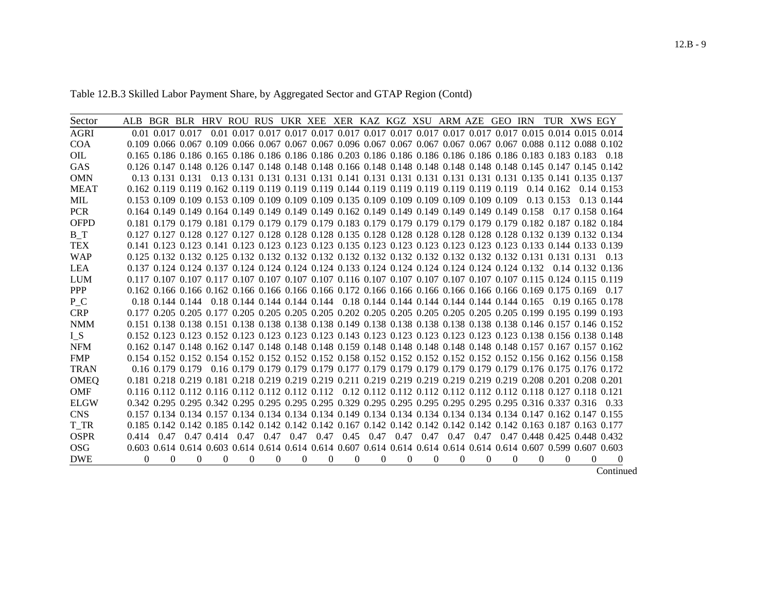Table 12.B.3 Skilled Labor Payment Share, by Aggregated Sector and GTAP Region (Contd)

| Sector      | ALB BGR BLR HRV ROU RUS UKR XEE XER KAZ KGZ XSU ARM AZE GEO IRN                                                         |                      |          |          |              |             |          |          |              |              |                                                                             |              |      |          |          |                | TUR XWS EGY                                                                                    |                |
|-------------|-------------------------------------------------------------------------------------------------------------------------|----------------------|----------|----------|--------------|-------------|----------|----------|--------------|--------------|-----------------------------------------------------------------------------|--------------|------|----------|----------|----------------|------------------------------------------------------------------------------------------------|----------------|
| <b>AGRI</b> | 0.01 0.017 0.017                                                                                                        |                      |          |          |              |             |          |          |              |              |                                                                             |              |      |          |          |                | 0.01 0.017 0.017 0.017 0.017 0.017 0.017 0.017 0.017 0.017 0.017 0.017 0.015 0.014 0.015 0.014 |                |
| COA         | 0.109 0.066 0.067 0.109 0.066 0.067 0.067 0.067 0.096 0.067 0.067 0.067 0.067 0.067 0.067 0.088 0.112 0.088 0.102       |                      |          |          |              |             |          |          |              |              |                                                                             |              |      |          |          |                |                                                                                                |                |
| <b>OIL</b>  | 0.165 0.186 0.186 0.165 0.186 0.186 0.186 0.186 0.203 0.186 0.186 0.186 0.186 0.186 0.186 0.183 0.183 0.183 0.18        |                      |          |          |              |             |          |          |              |              |                                                                             |              |      |          |          |                |                                                                                                |                |
| <b>GAS</b>  | 0.126 0.147 0.148 0.126 0.147 0.148 0.148 0.148 0.166 0.148 0.148 0.148 0.148 0.148 0.148 0.145 0.147 0.145 0.142       |                      |          |          |              |             |          |          |              |              |                                                                             |              |      |          |          |                |                                                                                                |                |
| <b>OMN</b>  | 0.13 0.131 0.131                                                                                                        |                      |          |          |              |             |          |          |              |              |                                                                             |              |      |          |          |                | 0.13 0.131 0.131 0.131 0.131 0.141 0.131 0.131 0.131 0.131 0.131 0.131 0.135 0.141 0.135 0.137 |                |
| <b>MEAT</b> | 0.162 0.119 0.119 0.162 0.119 0.119 0.119 0.119 0.144 0.119 0.119 0.119 0.119 0.119 0.119                               |                      |          |          |              |             |          |          |              |              |                                                                             |              |      |          |          | $0.14$ $0.162$ |                                                                                                | 0.14 0.153     |
| <b>MIL</b>  | 0.153 0.109 0.109 0.153 0.109 0.109 0.109 0.109 0.135 0.109 0.109 0.109 0.109 0.109 0.109                               |                      |          |          |              |             |          |          |              |              |                                                                             |              |      |          |          | 0.13 0.153     |                                                                                                | 0.13 0.144     |
| <b>PCR</b>  | 0.164 0.149 0.149 0.164 0.149 0.149 0.149 0.149 0.162 0.149 0.149 0.149 0.149 0.149 0.149 0.158                         |                      |          |          |              |             |          |          |              |              |                                                                             |              |      |          |          |                | 0.17 0.158 0.164                                                                               |                |
| <b>OFPD</b> | 0.181 0.179 0.179 0.181 0.179 0.179 0.179 0.179 0.183 0.179 0.179 0.179 0.179 0.179 0.179 0.182 0.187 0.182 0.184       |                      |          |          |              |             |          |          |              |              |                                                                             |              |      |          |          |                |                                                                                                |                |
| $B_T$       | 0.127 0.127 0.128 0.127 0.127 0.128 0.128 0.128 0.135 0.128 0.128 0.128 0.128 0.128 0.128 0.132 0.139 0.132 0.134       |                      |          |          |              |             |          |          |              |              |                                                                             |              |      |          |          |                |                                                                                                |                |
| <b>TEX</b>  | 0.141 0.123 0.123 0.141 0.123 0.123 0.123 0.123 0.135 0.123 0.123 0.123 0.123 0.123 0.123 0.133 0.144 0.133 0.139       |                      |          |          |              |             |          |          |              |              |                                                                             |              |      |          |          |                |                                                                                                |                |
| <b>WAP</b>  | 0.125 0.132 0.132 0.125 0.132 0.132 0.132 0.132 0.132 0.132 0.132 0.132 0.132 0.132 0.132 0.131 0.131 0.131             |                      |          |          |              |             |          |          |              |              |                                                                             |              |      |          |          |                |                                                                                                | 0.13           |
| <b>LEA</b>  | 0.137 0.124 0.124 0.137 0.124 0.124 0.124 0.124 0.133 0.124 0.124 0.124 0.124 0.124 0.124 0.132                         |                      |          |          |              |             |          |          |              |              |                                                                             |              |      |          |          |                | $0.14$ 0.132 0.136                                                                             |                |
| <b>LUM</b>  | 0.117 0.107 0.107 0.117 0.107 0.107 0.107 0.107 0.116 0.107 0.107 0.107 0.107 0.107 0.107 0.115 0.124 0.115 0.119       |                      |          |          |              |             |          |          |              |              |                                                                             |              |      |          |          |                |                                                                                                |                |
| <b>PPP</b>  | 0.162 0.166 0.166 0.162 0.166 0.166 0.166 0.166 0.172 0.166 0.166 0.166 0.166 0.166 0.166 0.169 0.175 0.169             |                      |          |          |              |             |          |          |              |              |                                                                             |              |      |          |          |                |                                                                                                | 0.17           |
| P C         | $0.18$ 0.144 0.144                                                                                                      |                      |          |          |              |             |          |          |              |              | 0.18 0.144 0.144 0.144 0.144 0.18 0.144 0.144 0.144 0.144 0.144 0.144 0.165 |              |      |          |          |                | 0.19 0.165 0.178                                                                               |                |
| <b>CRP</b>  | 0.177 0.205 0.205 0.177 0.205 0.205 0.205 0.205 0.202 0.205 0.205 0.205 0.205 0.205 0.205 0.199 0.195 0.199 0.193       |                      |          |          |              |             |          |          |              |              |                                                                             |              |      |          |          |                |                                                                                                |                |
| <b>NMM</b>  | 0.151 0.138 0.138 0.151 0.138 0.138 0.138 0.138 0.149 0.138 0.138 0.138 0.138 0.138 0.138 0.146 0.157 0.146 0.152       |                      |          |          |              |             |          |          |              |              |                                                                             |              |      |          |          |                |                                                                                                |                |
| $I_S$       | 0.152 0.123 0.123 0.152 0.123 0.123 0.123 0.123 0.143 0.123 0.123 0.123 0.123 0.123 0.123 0.138 0.156 0.138 0.148       |                      |          |          |              |             |          |          |              |              |                                                                             |              |      |          |          |                |                                                                                                |                |
| <b>NFM</b>  | 0.142 0.147 0.148 0.162 0.147 0.148 0.148 0.148 0.159 0.148 0.148 0.148 0.148 0.148 0.148 0.157 0.167 0.157 0.162       |                      |          |          |              |             |          |          |              |              |                                                                             |              |      |          |          |                |                                                                                                |                |
| <b>FMP</b>  | 0.154 0.152 0.152 0.154 0.152 0.152 0.152 0.152 0.158 0.152 0.152 0.152 0.152 0.152 0.152 0.156 0.162 0.156 0.158       |                      |          |          |              |             |          |          |              |              |                                                                             |              |      |          |          |                |                                                                                                |                |
| <b>TRAN</b> | 0.16 0.179 0.179                                                                                                        |                      |          |          |              |             |          |          |              |              |                                                                             |              |      |          |          |                | 0.16 0.179 0.179 0.179 0.179 0.177 0.179 0.179 0.179 0.179 0.179 0.179 0.176 0.175 0.176 0.172 |                |
| <b>OMEQ</b> | 0.181 0.218 0.219 0.181 0.218 0.219 0.219 0.219 0.211 0.219 0.219 0.219 0.219 0.219 0.219 0.208 0.201 0.208 0.201       |                      |          |          |              |             |          |          |              |              |                                                                             |              |      |          |          |                |                                                                                                |                |
| <b>OMF</b>  | 0.116 0.112 0.112 0.116 0.112 0.112 0.112 0.112 0.12 0.112 0.112 0.112 0.112 0.112 0.112 0.118 0.127 0.118 0.121        |                      |          |          |              |             |          |          |              |              |                                                                             |              |      |          |          |                |                                                                                                |                |
| <b>ELGW</b> | 0.295 0.295 0.295 0.342 0.295 0.295 0.295 0.295 0.329 0.295 0.295 0.295 0.295 0.295 0.295 0.316 0.337 0.316 0.33        |                      |          |          |              |             |          |          |              |              |                                                                             |              |      |          |          |                |                                                                                                |                |
| <b>CNS</b>  | 0.157 0.134 0.134 0.157 0.134 0.134 0.134 0.134 0.149 0.134 0.134 0.134 0.134 0.134 0.134 0.134 0.147 0.162 0.147 0.155 |                      |          |          |              |             |          |          |              |              |                                                                             |              |      |          |          |                |                                                                                                |                |
| T TR        | 0.185 0.142 0.142 0.185 0.142 0.142 0.142 0.142 0.167 0.142 0.142 0.142 0.142 0.142 0.142 0.163 0.187 0.163 0.177       |                      |          |          |              |             |          |          |              |              |                                                                             |              |      |          |          |                |                                                                                                |                |
| <b>OSPR</b> | 0.414                                                                                                                   | 0.47 0.47 0.414 0.47 |          |          |              | $0.47$ 0.47 | 0.47     | 0.45     | 0.47         | 0.47         | 0.47                                                                        | 0.47         | 0.47 |          |          |                | 0.47 0.448 0.425 0.448 0.432                                                                   |                |
| <b>OSG</b>  | 0.603 0.614 0.614 0.603 0.614 0.614 0.614 0.614 0.607 0.614 0.614 0.614 0.614 0.614 0.614 0.607 0.599 0.607 0.603       |                      |          |          |              |             |          |          |              |              |                                                                             |              |      |          |          |                |                                                                                                |                |
| <b>DWE</b>  | 0                                                                                                                       | $\Omega$<br>$\Omega$ | $\Omega$ | $\Omega$ | $\mathbf{0}$ | $\Omega$    | $\theta$ | $\theta$ | $\mathbf{0}$ | $\mathbf{0}$ | 0                                                                           | $\mathbf{0}$ | 0    | $\Omega$ | $\Omega$ | $\theta$       | $\Omega$                                                                                       | $\overline{0}$ |

Continued Continued